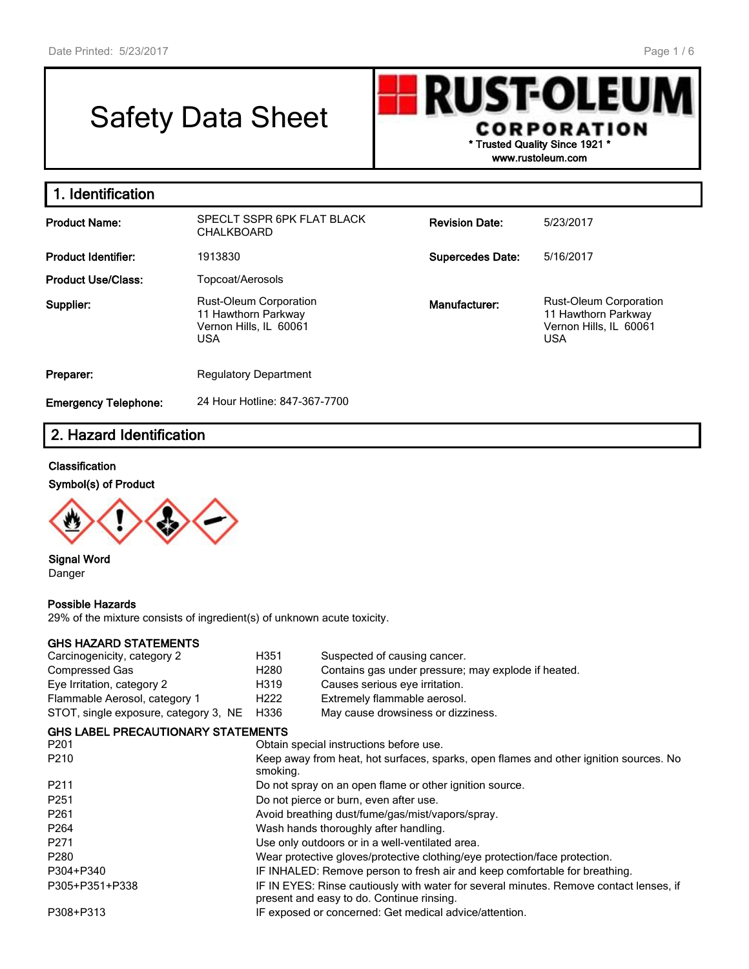# Safety Data Sheet

**RUST-OLEU** CORPORATION \* Trusted Quality Since 1921 \* www.rustoleum.com

1. Identification Product Name: SPECLT SSPR 6PK FLAT BLACK CHALKBOARD Revision Date: 5/23/2017 Product Identifier: 1913830 and 1913830 Supercedes Date: 5/16/2017 Product Use/Class: Topcoat/Aerosols Supplier: Rust-Oleum Corporation 11 Hawthorn Parkway Vernon Hills, IL 60061 USA Manufacturer: Rust-Oleum Corporation 11 Hawthorn Parkway Vernon Hills, IL 60061 USA **Preparer:** Regulatory Department

Emergency Telephone: 24 Hour Hotline: 847-367-7700

## 2. Hazard Identification

#### **Classification**

#### Symbol(s) of Product



Signal Word Danger

#### Possible Hazards

29% of the mixture consists of ingredient(s) of unknown acute toxicity.

#### GHS HAZARD STATEMENTS

| Carcinogenicity, category 2               | H351             | Suspected of causing cancer.                                                                                                        |
|-------------------------------------------|------------------|-------------------------------------------------------------------------------------------------------------------------------------|
| <b>Compressed Gas</b>                     | H <sub>280</sub> | Contains gas under pressure; may explode if heated.                                                                                 |
| Eye Irritation, category 2                | H319             | Causes serious eye irritation.                                                                                                      |
| Flammable Aerosol, category 1             | H <sub>222</sub> | Extremely flammable aerosol.                                                                                                        |
| STOT, single exposure, category 3, NE     | H336             | May cause drowsiness or dizziness.                                                                                                  |
| <b>GHS LABEL PRECAUTIONARY STATEMENTS</b> |                  |                                                                                                                                     |
| P <sub>201</sub>                          |                  | Obtain special instructions before use.                                                                                             |
| P <sub>210</sub>                          | smoking.         | Keep away from heat, hot surfaces, sparks, open flames and other ignition sources. No                                               |
| P211                                      |                  | Do not spray on an open flame or other ignition source.                                                                             |
| P <sub>251</sub>                          |                  | Do not pierce or burn, even after use.                                                                                              |
| P <sub>261</sub>                          |                  | Avoid breathing dust/fume/gas/mist/vapors/spray.                                                                                    |
| P264                                      |                  | Wash hands thoroughly after handling.                                                                                               |
| P <sub>271</sub>                          |                  | Use only outdoors or in a well-ventilated area.                                                                                     |
| P <sub>280</sub>                          |                  | Wear protective gloves/protective clothing/eye protection/face protection.                                                          |
| P304+P340                                 |                  | IF INHALED: Remove person to fresh air and keep comfortable for breathing.                                                          |
| P305+P351+P338                            |                  | IF IN EYES: Rinse cautiously with water for several minutes. Remove contact lenses, if<br>present and easy to do. Continue rinsing. |
| P308+P313                                 |                  | IF exposed or concerned: Get medical advice/attention.                                                                              |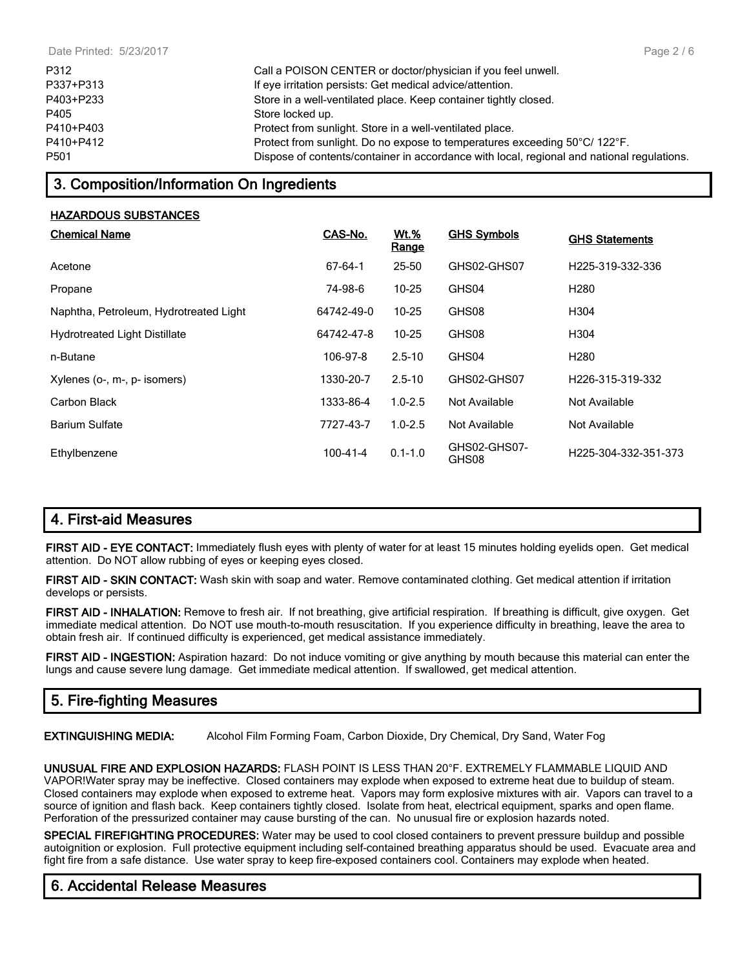| P312      | Call a POISON CENTER or doctor/physician if you feel unwell.                               |
|-----------|--------------------------------------------------------------------------------------------|
| P337+P313 | If eye irritation persists: Get medical advice/attention.                                  |
| P403+P233 | Store in a well-ventilated place. Keep container tightly closed.                           |
| P405      | Store locked up.                                                                           |
| P410+P403 | Protect from sunlight. Store in a well-ventilated place.                                   |
| P410+P412 | Protect from sunlight. Do no expose to temperatures exceeding 50°C/ 122°F.                 |
| P501      | Dispose of contents/container in accordance with local, regional and national regulations. |
|           |                                                                                            |

# 3. Composition/Information On Ingredients

#### HAZARDOUS SUBSTANCES

| <b>Chemical Name</b>                   | CAS-No.        | <b>Wt.%</b><br><b>Range</b> | <b>GHS Symbols</b>    | <b>GHS Statements</b> |
|----------------------------------------|----------------|-----------------------------|-----------------------|-----------------------|
| Acetone                                | 67-64-1        | $25 - 50$                   | GHS02-GHS07           | H225-319-332-336      |
| Propane                                | 74-98-6        | $10 - 25$                   | GHS04                 | H <sub>280</sub>      |
| Naphtha, Petroleum, Hydrotreated Light | 64742-49-0     | $10 - 25$                   | GHS08                 | H304                  |
| <b>Hydrotreated Light Distillate</b>   | 64742-47-8     | $10 - 25$                   | GHS08                 | H304                  |
| n-Butane                               | 106-97-8       | $2.5 - 10$                  | GHS04                 | H <sub>280</sub>      |
| Xylenes (o-, m-, p- isomers)           | 1330-20-7      | $2.5 - 10$                  | GHS02-GHS07           | H226-315-319-332      |
| Carbon Black                           | 1333-86-4      | $1.0 - 2.5$                 | Not Available         | Not Available         |
| <b>Barium Sulfate</b>                  | 7727-43-7      | $1.0 - 2.5$                 | Not Available         | Not Available         |
| Ethylbenzene                           | $100 - 41 - 4$ | $0.1 - 1.0$                 | GHS02-GHS07-<br>GHS08 | H225-304-332-351-373  |

# 4. First-aid Measures

FIRST AID - EYE CONTACT: Immediately flush eyes with plenty of water for at least 15 minutes holding eyelids open. Get medical attention. Do NOT allow rubbing of eyes or keeping eyes closed.

FIRST AID - SKIN CONTACT: Wash skin with soap and water. Remove contaminated clothing. Get medical attention if irritation develops or persists.

FIRST AID - INHALATION: Remove to fresh air. If not breathing, give artificial respiration. If breathing is difficult, give oxygen. Get immediate medical attention. Do NOT use mouth-to-mouth resuscitation. If you experience difficulty in breathing, leave the area to obtain fresh air. If continued difficulty is experienced, get medical assistance immediately.

FIRST AID - INGESTION: Aspiration hazard: Do not induce vomiting or give anything by mouth because this material can enter the lungs and cause severe lung damage. Get immediate medical attention. If swallowed, get medical attention.

# 5. Fire-fighting Measures

EXTINGUISHING MEDIA: Alcohol Film Forming Foam, Carbon Dioxide, Dry Chemical, Dry Sand, Water Fog

UNUSUAL FIRE AND EXPLOSION HAZARDS: FLASH POINT IS LESS THAN 20°F. EXTREMELY FLAMMABLE LIQUID AND VAPOR!Water spray may be ineffective. Closed containers may explode when exposed to extreme heat due to buildup of steam. Closed containers may explode when exposed to extreme heat. Vapors may form explosive mixtures with air. Vapors can travel to a source of ignition and flash back. Keep containers tightly closed. Isolate from heat, electrical equipment, sparks and open flame. Perforation of the pressurized container may cause bursting of the can. No unusual fire or explosion hazards noted.

SPECIAL FIREFIGHTING PROCEDURES: Water may be used to cool closed containers to prevent pressure buildup and possible autoignition or explosion. Full protective equipment including self-contained breathing apparatus should be used. Evacuate area and fight fire from a safe distance. Use water spray to keep fire-exposed containers cool. Containers may explode when heated.

## 6. Accidental Release Measures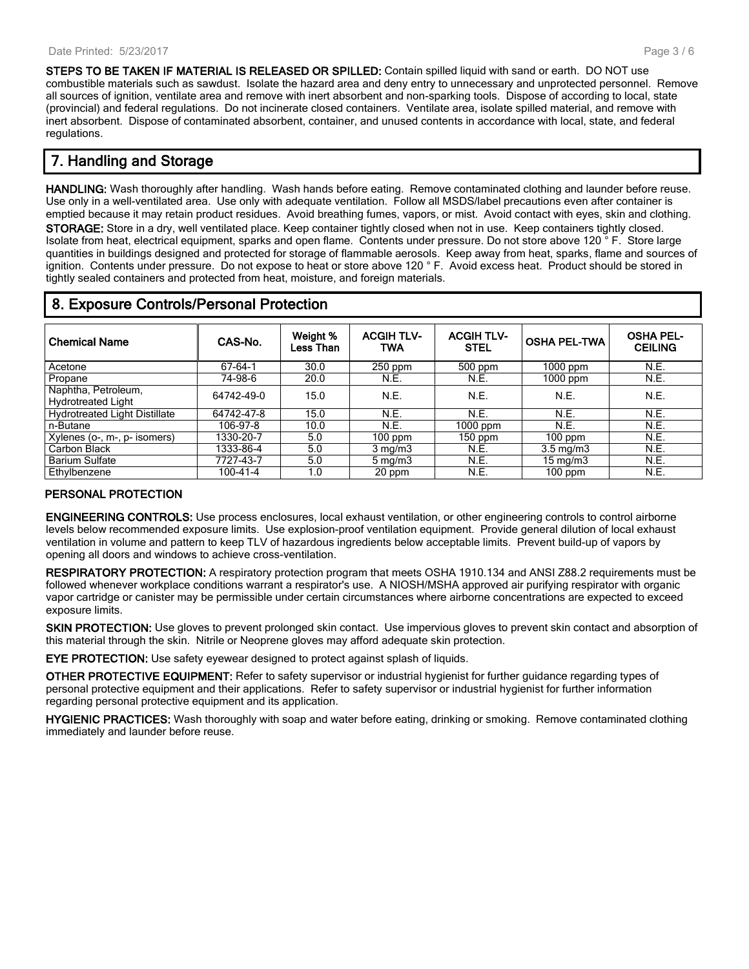STEPS TO BE TAKEN IF MATERIAL IS RELEASED OR SPILLED: Contain spilled liquid with sand or earth. DO NOT use combustible materials such as sawdust. Isolate the hazard area and deny entry to unnecessary and unprotected personnel. Remove all sources of ignition, ventilate area and remove with inert absorbent and non-sparking tools. Dispose of according to local, state (provincial) and federal regulations. Do not incinerate closed containers. Ventilate area, isolate spilled material, and remove with inert absorbent. Dispose of contaminated absorbent, container, and unused contents in accordance with local, state, and federal regulations.

# 7. Handling and Storage

HANDLING: Wash thoroughly after handling. Wash hands before eating. Remove contaminated clothing and launder before reuse. Use only in a well-ventilated area. Use only with adequate ventilation. Follow all MSDS/label precautions even after container is emptied because it may retain product residues. Avoid breathing fumes, vapors, or mist. Avoid contact with eyes, skin and clothing. STORAGE: Store in a dry, well ventilated place. Keep container tightly closed when not in use. Keep containers tightly closed.

Isolate from heat, electrical equipment, sparks and open flame. Contents under pressure. Do not store above 120 ° F. Store large quantities in buildings designed and protected for storage of flammable aerosols. Keep away from heat, sparks, flame and sources of ignition. Contents under pressure. Do not expose to heat or store above 120 ° F. Avoid excess heat. Product should be stored in tightly sealed containers and protected from heat, moisture, and foreign materials.

# 8. Exposure Controls/Personal Protection

| <b>Chemical Name</b>                 | CAS-No.    | Weight %<br>Less Than | <b>ACGIH TLV-</b><br><b>TWA</b> | <b>ACGIH TLV-</b><br><b>STEL</b> | <b>OSHA PEL-TWA</b> | <b>OSHA PEL-</b><br><b>CEILING</b> |
|--------------------------------------|------------|-----------------------|---------------------------------|----------------------------------|---------------------|------------------------------------|
| Acetone                              | 67-64-1    | 30.0                  | $250$ ppm                       | $500$ ppm                        | $1000$ ppm          | N.E.                               |
| Propane                              | 74-98-6    | 20.0                  | N.E.                            | N.E.                             | $1000$ ppm          | N.E.                               |
| Naphtha, Petroleum,                  | 64742-49-0 | 15.0                  | N.E.                            | N.E.                             | N.E.                | N.E.                               |
| <b>Hydrotreated Light</b>            |            |                       |                                 |                                  |                     |                                    |
| <b>Hydrotreated Light Distillate</b> | 64742-47-8 | 15.0                  | N.E.                            | N.E.                             | N.E.                | N.E.                               |
| n-Butane                             | 106-97-8   | 10.0                  | N.E.                            | $1000$ ppm                       | N.E.                | N.E.                               |
| Xylenes (o-, m-, p- isomers)         | 1330-20-7  | 5.0                   | $100$ ppm                       | $150$ ppm                        | $100$ ppm           | N.E.                               |
| Carbon Black                         | 1333-86-4  | 5.0                   | $3$ mg/m $3$                    | N.E.                             | $3.5 \text{ mg/m}$  | N.E.                               |
| <b>Barium Sulfate</b>                | 7727-43-7  | 5.0                   | $5 \,\mathrm{mg/m}$             | N.E.                             | $15 \text{ mg/m}$   | N.E.                               |
| Ethylbenzene                         | 100-41-4   | 1.0                   | 20 ppm                          | N.E.                             | $100$ ppm           | N.E.                               |

### PERSONAL PROTECTION

ENGINEERING CONTROLS: Use process enclosures, local exhaust ventilation, or other engineering controls to control airborne levels below recommended exposure limits. Use explosion-proof ventilation equipment. Provide general dilution of local exhaust ventilation in volume and pattern to keep TLV of hazardous ingredients below acceptable limits. Prevent build-up of vapors by opening all doors and windows to achieve cross-ventilation.

RESPIRATORY PROTECTION: A respiratory protection program that meets OSHA 1910.134 and ANSI Z88.2 requirements must be followed whenever workplace conditions warrant a respirator's use. A NIOSH/MSHA approved air purifying respirator with organic vapor cartridge or canister may be permissible under certain circumstances where airborne concentrations are expected to exceed exposure limits.

SKIN PROTECTION: Use gloves to prevent prolonged skin contact. Use impervious gloves to prevent skin contact and absorption of this material through the skin. Nitrile or Neoprene gloves may afford adequate skin protection.

EYE PROTECTION: Use safety eyewear designed to protect against splash of liquids.

OTHER PROTECTIVE EQUIPMENT: Refer to safety supervisor or industrial hygienist for further guidance regarding types of personal protective equipment and their applications. Refer to safety supervisor or industrial hygienist for further information regarding personal protective equipment and its application.

HYGIENIC PRACTICES: Wash thoroughly with soap and water before eating, drinking or smoking. Remove contaminated clothing immediately and launder before reuse.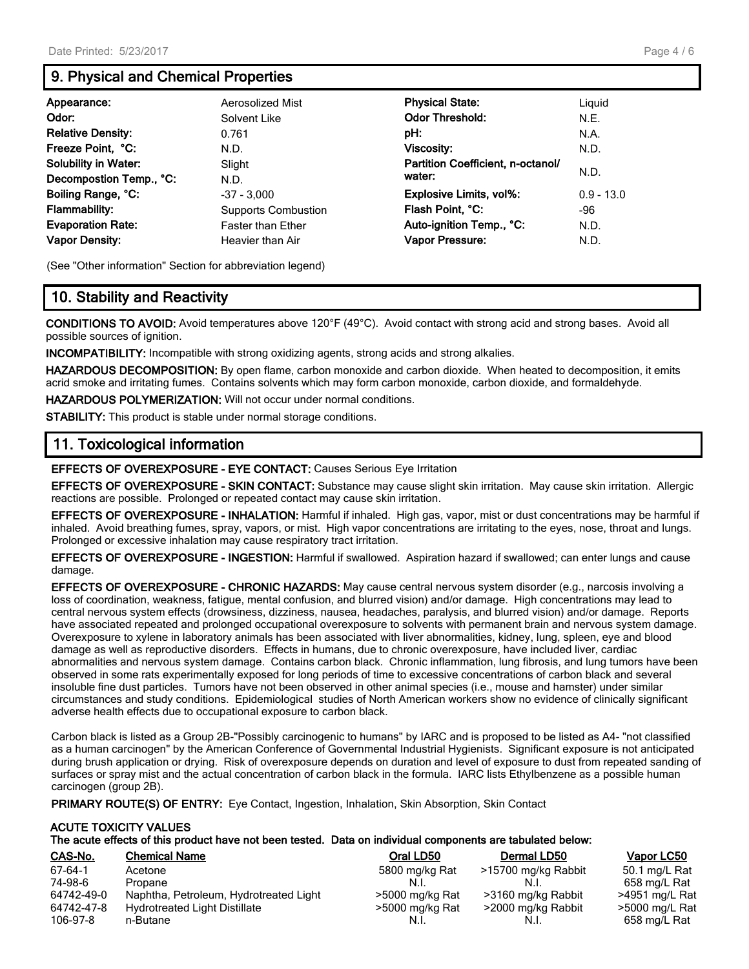# 9. Physical and Chemical Properties

| Appearance:                 | Aerosolized Mist           | <b>Physical State:</b>            | Liguid       |
|-----------------------------|----------------------------|-----------------------------------|--------------|
| Odor:                       | Solvent Like               | <b>Odor Threshold:</b>            | N.E.         |
| <b>Relative Density:</b>    | 0.761                      | pH:                               | N.A.         |
| Freeze Point, °C:           | N.D.                       | Viscosity:                        | N.D.         |
| <b>Solubility in Water:</b> | Slight                     | Partition Coefficient, n-octanol/ | N.D.         |
| Decompostion Temp., °C:     | N.D.                       | water:                            |              |
| Boiling Range, °C:          | $-37 - 3,000$              | <b>Explosive Limits, vol%:</b>    | $0.9 - 13.0$ |
| <b>Flammability:</b>        | <b>Supports Combustion</b> | Flash Point, °C:                  | -96          |
| <b>Evaporation Rate:</b>    | <b>Faster than Ether</b>   | Auto-ignition Temp., °C:          | N.D.         |
| <b>Vapor Density:</b>       | Heavier than Air           | Vapor Pressure:                   | N.D.         |

(See "Other information" Section for abbreviation legend)

# 10. Stability and Reactivity

CONDITIONS TO AVOID: Avoid temperatures above 120°F (49°C). Avoid contact with strong acid and strong bases. Avoid all possible sources of ignition.

INCOMPATIBILITY: Incompatible with strong oxidizing agents, strong acids and strong alkalies.

HAZARDOUS DECOMPOSITION: By open flame, carbon monoxide and carbon dioxide. When heated to decomposition, it emits acrid smoke and irritating fumes. Contains solvents which may form carbon monoxide, carbon dioxide, and formaldehyde.

HAZARDOUS POLYMERIZATION: Will not occur under normal conditions.

STABILITY: This product is stable under normal storage conditions.

## 11. Toxicological information

EFFECTS OF OVEREXPOSURE - EYE CONTACT: Causes Serious Eye Irritation

EFFECTS OF OVEREXPOSURE - SKIN CONTACT: Substance may cause slight skin irritation. May cause skin irritation. Allergic reactions are possible. Prolonged or repeated contact may cause skin irritation.

EFFECTS OF OVEREXPOSURE - INHALATION: Harmful if inhaled. High gas, vapor, mist or dust concentrations may be harmful if inhaled. Avoid breathing fumes, spray, vapors, or mist. High vapor concentrations are irritating to the eyes, nose, throat and lungs. Prolonged or excessive inhalation may cause respiratory tract irritation.

EFFECTS OF OVEREXPOSURE - INGESTION: Harmful if swallowed. Aspiration hazard if swallowed; can enter lungs and cause damage.

EFFECTS OF OVEREXPOSURE - CHRONIC HAZARDS: May cause central nervous system disorder (e.g., narcosis involving a loss of coordination, weakness, fatigue, mental confusion, and blurred vision) and/or damage. High concentrations may lead to central nervous system effects (drowsiness, dizziness, nausea, headaches, paralysis, and blurred vision) and/or damage. Reports have associated repeated and prolonged occupational overexposure to solvents with permanent brain and nervous system damage. Overexposure to xylene in laboratory animals has been associated with liver abnormalities, kidney, lung, spleen, eye and blood damage as well as reproductive disorders. Effects in humans, due to chronic overexposure, have included liver, cardiac abnormalities and nervous system damage. Contains carbon black. Chronic inflammation, lung fibrosis, and lung tumors have been observed in some rats experimentally exposed for long periods of time to excessive concentrations of carbon black and several insoluble fine dust particles. Tumors have not been observed in other animal species (i.e., mouse and hamster) under similar circumstances and study conditions. Epidemiological studies of North American workers show no evidence of clinically significant adverse health effects due to occupational exposure to carbon black.

Carbon black is listed as a Group 2B-"Possibly carcinogenic to humans" by IARC and is proposed to be listed as A4- "not classified as a human carcinogen" by the American Conference of Governmental Industrial Hygienists. Significant exposure is not anticipated during brush application or drying. Risk of overexposure depends on duration and level of exposure to dust from repeated sanding of surfaces or spray mist and the actual concentration of carbon black in the formula. IARC lists Ethylbenzene as a possible human carcinogen (group 2B).

PRIMARY ROUTE(S) OF ENTRY: Eye Contact, Ingestion, Inhalation, Skin Absorption, Skin Contact

#### ACUTE TOXICITY VALUES The acute effects of this product have not been tested. Data on individual components are tabulated below:

| CAS-No.    | <b>Chemical Name</b>                   | Oral LD50       | Dermal LD50         | Vapor LC50     |
|------------|----------------------------------------|-----------------|---------------------|----------------|
| 67-64-1    | Acetone                                | 5800 mg/kg Rat  | >15700 mg/kg Rabbit | 50.1 mg/L Rat  |
| 74-98-6    | Propane                                | N.I.            |                     | 658 mg/L Rat   |
| 64742-49-0 | Naphtha, Petroleum, Hydrotreated Light | >5000 mg/kg Rat | >3160 mg/kg Rabbit  | >4951 mg/L Rat |
| 64742-47-8 | <b>Hydrotreated Light Distillate</b>   | >5000 mg/kg Rat | >2000 mg/kg Rabbit  | >5000 mg/L Rat |
| 106-97-8   | n-Butane                               | N.I.            | .N.I.               | 658 mg/L Rat   |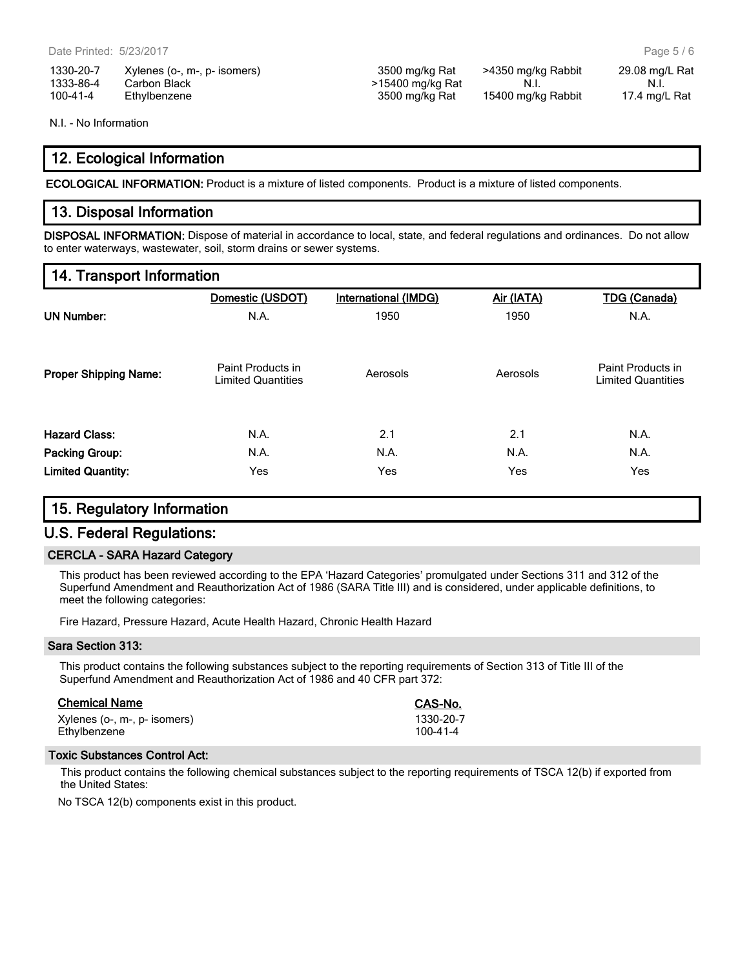| 1330-20-7 | Xylenes (o-, m-, p- isomers) |
|-----------|------------------------------|
| 1333-86-4 | Carbon Black                 |
| 100-41-4  | Ethylbenzene                 |

N.I. - No Information

## 12. Ecological Information

ECOLOGICAL INFORMATION: Product is a mixture of listed components. Product is a mixture of listed components.

### 13. Disposal Information

DISPOSAL INFORMATION: Dispose of material in accordance to local, state, and federal regulations and ordinances. Do not allow to enter waterways, wastewater, soil, storm drains or sewer systems.

## 14. Transport Information

|                              | Domestic (USDOT)                               | International (IMDG) | Air (IATA) | <b>TDG (Canada)</b>                            |
|------------------------------|------------------------------------------------|----------------------|------------|------------------------------------------------|
| <b>UN Number:</b>            | N.A.                                           | 1950                 | 1950       | N.A.                                           |
| <b>Proper Shipping Name:</b> | Paint Products in<br><b>Limited Quantities</b> | Aerosols             | Aerosols   | Paint Products in<br><b>Limited Quantities</b> |
| <b>Hazard Class:</b>         | N.A.                                           | 2.1                  | 2.1        | N.A.                                           |
| <b>Packing Group:</b>        | N.A.                                           | N.A.                 | N.A.       | N.A.                                           |
| <b>Limited Quantity:</b>     | Yes                                            | Yes                  | Yes        | Yes                                            |

## 15. Regulatory Information

## U.S. Federal Regulations:

#### CERCLA - SARA Hazard Category

This product has been reviewed according to the EPA 'Hazard Categories' promulgated under Sections 311 and 312 of the Superfund Amendment and Reauthorization Act of 1986 (SARA Title III) and is considered, under applicable definitions, to meet the following categories:

Fire Hazard, Pressure Hazard, Acute Health Hazard, Chronic Health Hazard

#### Sara Section 313:

This product contains the following substances subject to the reporting requirements of Section 313 of Title III of the Superfund Amendment and Reauthorization Act of 1986 and 40 CFR part 372:

| <b>Chemical Name</b>         | CAS-No.        |
|------------------------------|----------------|
| Xylenes (o-, m-, p- isomers) | 1330-20-7      |
| Ethylbenzene                 | $100 - 41 - 4$ |

#### Toxic Substances Control Act:

This product contains the following chemical substances subject to the reporting requirements of TSCA 12(b) if exported from the United States:

No TSCA 12(b) components exist in this product.

3500 mg/kg Rat >4350 mg/kg Rabbit 29.08 mg/L Rat  $>15400$  mg/kg Rat N.I. N.I. N.I. 100-41-4 Ethylbenzene 3500 mg/kg Rat 15400 mg/kg Rabbit 17.4 mg/L Rat